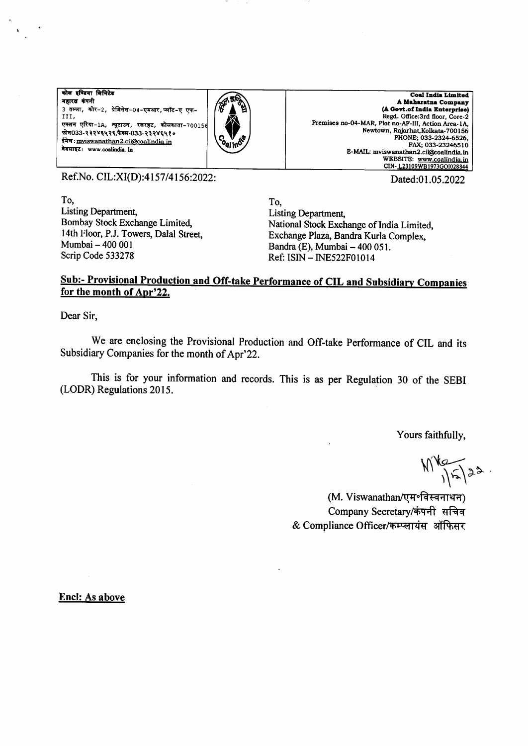कोल इण्डिया लिमिटेड महारब कंपनी 3 तल्ला, कोर-2, प्रेमिसेस-04-एमआर,प्लॉट-ए एफ-III, एक्शन एरिया-1A, न्यूटाउन, रजरहट, कोलकाता-70015 फोन033-२३२४६५२६,फैक्स-033-२३२४६५१० ईमेल: mviswanathan2.ci@coalindia.in वेबसाइट: www.coalindia.ln



Coal India Limited A Maharatna Company (A Govt.of India Enterprise) Regd. Office:3rd floor, Core-2 Premises no-04-MAR, Plot no-AF-III, Action Area-1A, Newtown, Rajarhat, Kolkata-700156<br>PHONE; 033-2324-6526, FAX; 033-23246510 E-MAIL: mviswanathan2.cil@coalindia.in WEBSITE: www.coalindia.in<br>CIN-123109WB1973GOI028844

Dated:01.05.2022

Ref.No. CIL:XI(D):4157/4156:2022:

To, **Listing Department.** Bombay Stock Exchange Limited, 14th Floor, P.J. Towers, Dalal Street, Mumbai - 400 001 Scrip Code 533278

To. Listing Department, National Stock Exchange of India Limited, Exchange Plaza, Bandra Kurla Complex. Bandra (E), Mumbai - 400 051. Ref: ISIN - INE522F01014

## Sub:- Provisional Production and Off-take Performance of CIL and Subsidiary Companies for the month of Apr'22.

Dear Sir,

We are enclosing the Provisional Production and Off-take Performance of CIL and its Subsidiary Companies for the month of Apr'22.

This is for your information and records. This is as per Regulation 30 of the SEBI (LODR) Regulations 2015.

Yours faithfully,

 $M_{15/32}$ 

(M. Viswanathan/एम॰विस्वनाथन) Company Secretary/कंपनी सचिव & Compliance Officer/कम्प्लायंस ऑफिसर

**Encl: As above**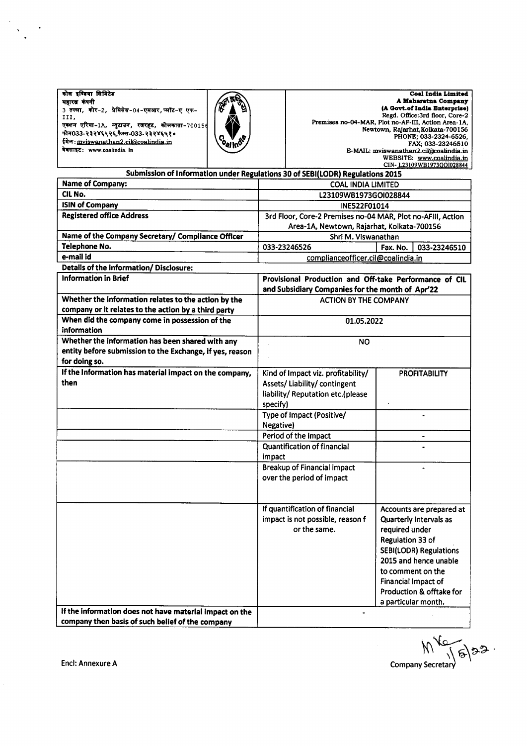| कोस इण्डिया सिमिटेड                             |  |  |  |  |  |
|-------------------------------------------------|--|--|--|--|--|
| महारत्न कंपनी                                   |  |  |  |  |  |
| 3 तल्ला, कोर-2, प्रेमिसेस-04-एमआर,प्लॉट-ए एफ-   |  |  |  |  |  |
| III.                                            |  |  |  |  |  |
| एक्शन एरिया-1A, न्यूटाउन, रजरहट, कोलकाता-70015¢ |  |  |  |  |  |
| फोन033-२३२४६५२६,फैक्स-033-२३२४६५१०              |  |  |  |  |  |
| ईमेल: mviswanathan2.cil@coalindia.in            |  |  |  |  |  |
| वेबसाइट: www.coalindia. In                      |  |  |  |  |  |



A Maharatna Company lA Gont.of ladtr Entrrprlrcl Regd. Ofrce:3rd lloor, Core-2 Premises no-O4-MA& Plot no-AF-III, Action Area-lA, Newtown, Rajarhat,Kolkata-700156<br>PHONE; 033-2324-6526<mark>,</mark> FAX; 033-23246510<br>E-MAIL: mviswanathan2.cil@coalindia.in<br>WEBSITE: www.coalindia.in<br>CIN-<u>L23109WB1973GO1028844</u>

| Submission of Information under Regulations 30 of SEBI(LODR) Regulations 2015       |                                                             |                               |  |
|-------------------------------------------------------------------------------------|-------------------------------------------------------------|-------------------------------|--|
| <b>Name of Company:</b>                                                             | <b>COAL INDIA LIMITED</b>                                   |                               |  |
| CIL No.                                                                             | L23109WB1973GOI028844                                       |                               |  |
| <b>ISIN of Company</b>                                                              | INE522F01014                                                |                               |  |
| <b>Registered office Address</b>                                                    | 3rd Floor, Core-2 Premises no-04 MAR, Plot no-AFIII, Action |                               |  |
|                                                                                     | Area-1A, Newtown, Rajarhat, Kolkata-700156                  |                               |  |
| Name of the Company Secretary/ Compliance Officer                                   | Shri M. Viswanathan                                         |                               |  |
| Telephone No.                                                                       | 033-23246526                                                | Fax. No.<br>033-23246510      |  |
| e-mail id                                                                           | complianceofficer.cil@coalindia.in                          |                               |  |
| Details of the information/ Disclosure:                                             |                                                             |                               |  |
| <b>Information in Brief</b>                                                         | Provisional Production and Off-take Performance of CIL      |                               |  |
|                                                                                     | and Subsidiary Companies for the month of Apr'22            |                               |  |
| Whether the information relates to the action by the                                | <b>ACTION BY THE COMPANY</b>                                |                               |  |
| company or it relates to the action by a third party                                |                                                             |                               |  |
| When did the company come in possession of the                                      | 01.05.2022                                                  |                               |  |
| information                                                                         |                                                             |                               |  |
| Whether the information has been shared with any                                    | <b>NO</b>                                                   |                               |  |
| entity before submission to the Exchange, if yes, reason                            |                                                             |                               |  |
| for doing so.                                                                       |                                                             |                               |  |
| If the Information has material impact on the company,                              | Kind of Impact viz. profitability/                          | <b>PROFITABILITY</b>          |  |
| then                                                                                | Assets/Liability/contingent                                 |                               |  |
|                                                                                     | liability/ Reputation etc.(please                           |                               |  |
|                                                                                     | specify)                                                    |                               |  |
|                                                                                     | Type of Impact (Positive/                                   |                               |  |
|                                                                                     | Negative)                                                   |                               |  |
|                                                                                     | Period of the impact                                        | $\qquad \qquad \blacksquare$  |  |
|                                                                                     | <b>Quantification of financial</b>                          |                               |  |
|                                                                                     | impact                                                      |                               |  |
|                                                                                     | <b>Breakup of Financial impact</b>                          |                               |  |
|                                                                                     | over the period of impact                                   |                               |  |
|                                                                                     |                                                             |                               |  |
|                                                                                     |                                                             |                               |  |
|                                                                                     | If quantification of financial                              | Accounts are prepared at      |  |
|                                                                                     | impact is not possible, reason f                            | Quarterly Intervals as        |  |
|                                                                                     | or the same.                                                | required under                |  |
|                                                                                     |                                                             | Regulation 33 of              |  |
|                                                                                     |                                                             | <b>SEBI(LODR) Regulations</b> |  |
|                                                                                     |                                                             | 2015 and hence unable         |  |
|                                                                                     |                                                             | to comment on the             |  |
|                                                                                     |                                                             | <b>Financial Impact of</b>    |  |
|                                                                                     |                                                             | Production & offtake for      |  |
|                                                                                     |                                                             | a particular month.           |  |
| If the information does not have material impact on the<br>$\overline{\phantom{a}}$ |                                                             |                               |  |
| company then basis of such belief of the company                                    |                                                             |                               |  |

Encl: Annexure <sup>A</sup> .",0."r[F\*t